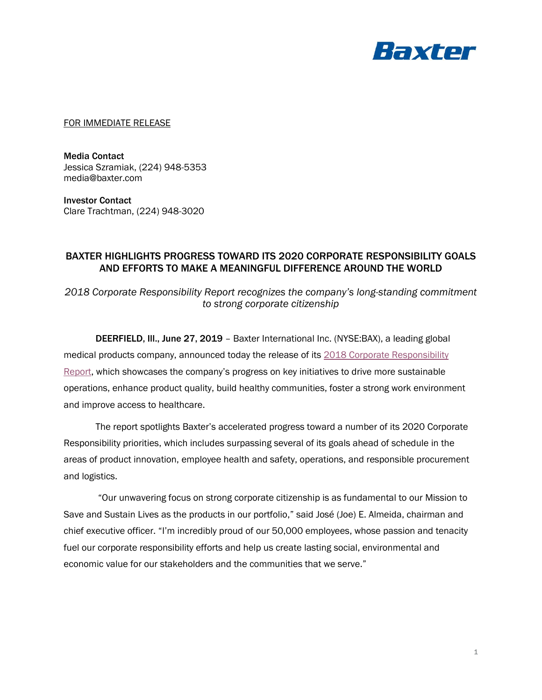

FOR IMMEDIATE RELEASE

Media Contact Jessica Szramiak, (224) 948-5353 media@baxter.com

Investor Contact Clare Trachtman, (224) 948-3020

# BAXTER HIGHLIGHTS PROGRESS TOWARD ITS 2020 CORPORATE RESPONSIBILITY GOALS AND EFFORTS TO MAKE A MEANINGFUL DIFFERENCE AROUND THE WORLD

*2018 Corporate Responsibility Report recognizes the company's long-standing commitment to strong corporate citizenship*

DEERFIELD, Ill., June 27, 2019 – Baxter International Inc. (NYSE:BAX), a leading global medical products company, announced today the release of its [2018 Corporate Responsibility](https://www.baxter.com/our-story/corporate-responsibility/corporate-responsibility-report)  [Report,](https://www.baxter.com/our-story/corporate-responsibility/corporate-responsibility-report) which showcases the company's progress on key initiatives to drive more sustainable operations, enhance product quality, build healthy communities, foster a strong work environment and improve access to healthcare.

The report spotlights Baxter's accelerated progress toward a number of its 2020 Corporate Responsibility priorities, which includes surpassing several of its goals ahead of schedule in the areas of product innovation, employee health and safety, operations, and responsible procurement and logistics.

"Our unwavering focus on strong corporate citizenship is as fundamental to our Mission to Save and Sustain Lives as the products in our portfolio," said José (Joe) E. Almeida, chairman and chief executive officer. "I'm incredibly proud of our 50,000 employees, whose passion and tenacity fuel our corporate responsibility efforts and help us create lasting social, environmental and economic value for our stakeholders and the communities that we serve."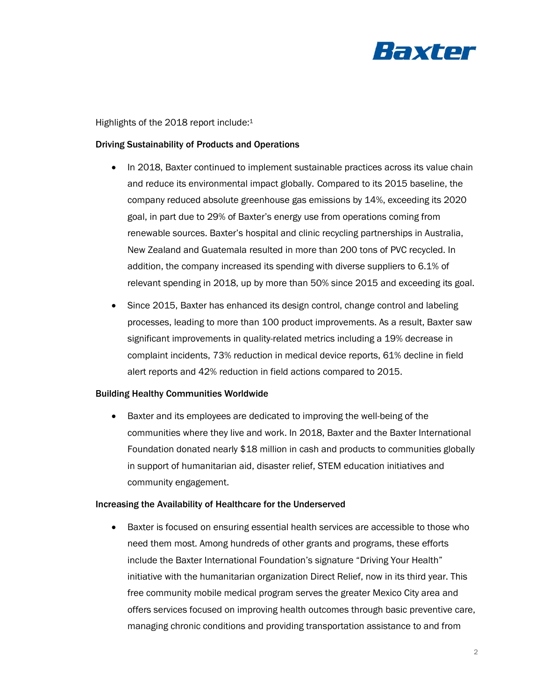

Highlights of the 2018 report include:<sup>1</sup>

## Driving Sustainability of Products and Operations

- In 2018, Baxter continued to implement sustainable practices across its value chain and reduce its environmental impact globally. Compared to its 2015 baseline, the company reduced absolute greenhouse gas emissions by 14%, exceeding its 2020 goal, in part due to 29% of Baxter's energy use from operations coming from renewable sources. Baxter's hospital and clinic recycling partnerships in Australia, New Zealand and Guatemala resulted in more than 200 tons of PVC recycled. In addition, the company increased its spending with diverse suppliers to 6.1% of relevant spending in 2018, up by more than 50% since 2015 and exceeding its goal.
- Since 2015, Baxter has enhanced its design control, change control and labeling processes, leading to more than 100 product improvements. As a result, Baxter saw significant improvements in quality-related metrics including a 19% decrease in complaint incidents, 73% reduction in medical device reports, 61% decline in field alert reports and 42% reduction in field actions compared to 2015.

# Building Healthy Communities Worldwide

• Baxter and its employees are dedicated to improving the well-being of the communities where they live and work. In 2018, Baxter and the Baxter International Foundation donated nearly \$18 million in cash and products to communities globally in support of humanitarian aid, disaster relief, STEM education initiatives and community engagement.

#### Increasing the Availability of Healthcare for the Underserved

• Baxter is focused on ensuring essential health services are accessible to those who need them most. Among hundreds of other grants and programs, these efforts include the Baxter International Foundation's signature "Driving Your Health" initiative with the humanitarian organization Direct Relief, now in its third year. This free community mobile medical program serves the greater Mexico City area and offers services focused on improving health outcomes through basic preventive care, managing chronic conditions and providing transportation assistance to and from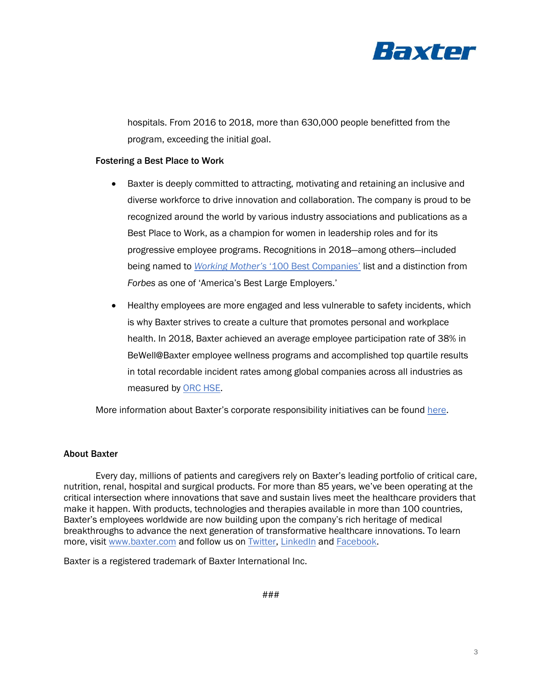

hospitals. From 2016 to 2018, more than 630,000 people benefitted from the program, exceeding the initial goal.

## Fostering a Best Place to Work

- Baxter is deeply committed to attracting, motivating and retaining an inclusive and diverse workforce to drive innovation and collaboration. The company is proud to be recognized around the world by various industry associations and publications as a Best Place to Work, as a champion for women in leadership roles and for its progressive employee programs. Recognitions in 2018—among others—included being named to *Working Mother's* ['100 Best Companies'](https://www.baxter.com/baxter-newsroom/baxter-recognized-one-working-mothers-2018-100-best-companies) list and a distinction from *Forbes* as one of 'America's Best Large Employers.'
- Healthy employees are more engaged and less vulnerable to safety incidents, which is why Baxter strives to create a culture that promotes personal and workplace health. In 2018, Baxter achieved an average employee participation rate of 38% in BeWell@Baxter employee wellness programs and accomplished top quartile results in total recordable incident rates among global companies across all industries as measured by [ORC HSE.](https://www.orchse-strategies.com/)

More information about Baxter's corporate responsibility initiatives can be found [here.](https://www.baxter.com/our-story/corporate-responsibility)

#### About Baxter

Every day, millions of patients and caregivers rely on Baxter's leading portfolio of critical care, nutrition, renal, hospital and surgical products. For more than 85 years, we've been operating at the critical intersection where innovations that save and sustain lives meet the healthcare providers that make it happen. With products, technologies and therapies available in more than 100 countries, Baxter's employees worldwide are now building upon the company's rich heritage of medical breakthroughs to advance the next generation of transformative healthcare innovations. To learn more, visit [www.baxter.com](http://www.baxter.com/) and follow us on [Twitter,](https://twitter.com/baxter_intl?ref_src=twsrc%5Egoogle%7Ctwcamp%5Eserp%7Ctwgr%5Eauthor) [LinkedIn](https://www.linkedin.com/company/baxter-healthcare/) and [Facebook.](https://www.facebook.com/BaxterInternationalInc/)

Baxter is a registered trademark of Baxter International Inc.